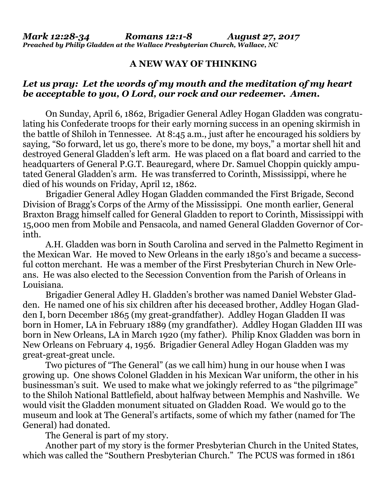## **A NEW WAY OF THINKING**

## *Let us pray: Let the words of my mouth and the meditation of my heart be acceptable to you, O Lord, our rock and our redeemer. Amen.*

On Sunday, April 6, 1862, Brigadier General Adley Hogan Gladden was congratulating his Confederate troops for their early morning success in an opening skirmish in the battle of Shiloh in Tennessee. At 8:45 a.m., just after he encouraged his soldiers by saying, "So forward, let us go, there's more to be done, my boys," a mortar shell hit and destroyed General Gladden's left arm. He was placed on a flat board and carried to the headquarters of General P.G.T. Beauregard, where Dr. Samuel Choppin quickly amputated General Gladden's arm. He was transferred to Corinth, Mississippi, where he died of his wounds on Friday, April 12, 1862.

Brigadier General Adley Hogan Gladden commanded the First Brigade, Second Division of Bragg's Corps of the Army of the Mississippi. One month earlier, General Braxton Bragg himself called for General Gladden to report to Corinth, Mississippi with 15,000 men from Mobile and Pensacola, and named General Gladden Governor of Corinth.

A.H. Gladden was born in South Carolina and served in the Palmetto Regiment in the Mexican War. He moved to New Orleans in the early 1850's and became a successful cotton merchant. He was a member of the First Presbyterian Church in New Orleans. He was also elected to the Secession Convention from the Parish of Orleans in Louisiana.

Brigadier General Adley H. Gladden's brother was named Daniel Webster Gladden. He named one of his six children after his deceased brother, Addley Hogan Gladden I, born December 1865 (my great-grandfather). Addley Hogan Gladden II was born in Homer, LA in February 1889 (my grandfather). Addley Hogan Gladden III was born in New Orleans, LA in March 1920 (my father). Philip Knox Gladden was born in New Orleans on February 4, 1956. Brigadier General Adley Hogan Gladden was my great-great-great uncle.

Two pictures of "The General" (as we call him) hung in our house when I was growing up. One shows Colonel Gladden in his Mexican War uniform, the other in his businessman's suit. We used to make what we jokingly referred to as "the pilgrimage" to the Shiloh National Battlefield, about halfway between Memphis and Nashville. We would visit the Gladden monument situated on Gladden Road. We would go to the museum and look at The General's artifacts, some of which my father (named for The General) had donated.

The General is part of my story.

Another part of my story is the former Presbyterian Church in the United States, which was called the "Southern Presbyterian Church." The PCUS was formed in 1861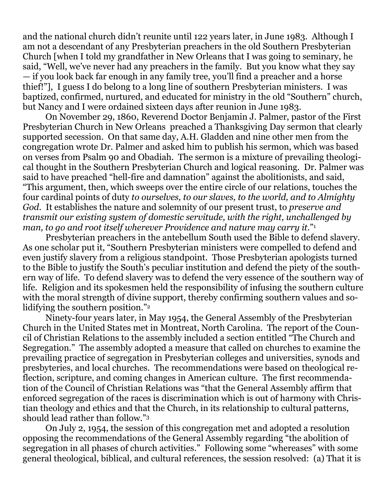and the national church didn't reunite until 122 years later, in June 1983. Although I am not a descendant of any Presbyterian preachers in the old Southern Presbyterian Church [when I told my grandfather in New Orleans that I was going to seminary, he said, "Well, we've never had any preachers in the family. But you know what they say — if you look back far enough in any family tree, you'll find a preacher and a horse thief!"], I guess I do belong to a long line of southern Presbyterian ministers. I was baptized, confirmed, nurtured, and educated for ministry in the old "Southern" church, but Nancy and I were ordained sixteen days after reunion in June 1983.

On November 29, 1860, Reverend Doctor Benjamin J. Palmer, pastor of the First Presbyterian Church in New Orleans preached a Thanksgiving Day sermon that clearly supported secession. On that same day, A.H. Gladden and nine other men from the congregation wrote Dr. Palmer and asked him to publish his sermon, which was based on verses from Psalm 90 and Obadiah. The sermon is a mixture of prevailing theological thought in the Southern Presbyterian Church and logical reasoning. Dr. Palmer was said to have preached "hell-fire and damnation" against the abolitionists, and said, "This argument, then, which sweeps over the entire circle of our relations, touches the four cardinal points of duty *to ourselves, to our slaves, to the world, and to Almighty God.* It establishes the nature and solemnity of our present trust, to *preserve and transmit our existing system of domestic servitude, with the right, unchallenged by man, to go and root itself wherever Providence and nature may carry it.*" 1

Presbyterian preachers in the antebellum South used the Bible to defend slavery. As one scholar put it, "Southern Presbyterian ministers were compelled to defend and even justify slavery from a religious standpoint. Those Presbyterian apologists turned to the Bible to justify the South's peculiar institution and defend the piety of the southern way of life. To defend slavery was to defend the very essence of the southern way of life. Religion and its spokesmen held the responsibility of infusing the southern culture with the moral strength of divine support, thereby confirming southern values and solidifying the southern position."<sup>2</sup>

Ninety-four years later, in May 1954, the General Assembly of the Presbyterian Church in the United States met in Montreat, North Carolina. The report of the Council of Christian Relations to the assembly included a section entitled "The Church and Segregation." The assembly adopted a measure that called on churches to examine the prevailing practice of segregation in Presbyterian colleges and universities, synods and presbyteries, and local churches. The recommendations were based on theological reflection, scripture, and coming changes in American culture. The first recommendation of the Council of Christian Relations was "that the General Assembly affirm that enforced segregation of the races is discrimination which is out of harmony with Christian theology and ethics and that the Church, in its relationship to cultural patterns, should lead rather than follow."<sup>3</sup>

On July 2, 1954, the session of this congregation met and adopted a resolution opposing the recommendations of the General Assembly regarding "the abolition of segregation in all phases of church activities." Following some "whereases" with some general theological, biblical, and cultural references, the session resolved: (a) That it is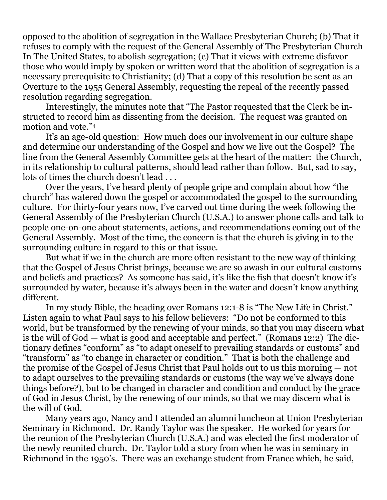opposed to the abolition of segregation in the Wallace Presbyterian Church; (b) That it refuses to comply with the request of the General Assembly of The Presbyterian Church In The United States, to abolish segregation; (c) That it views with extreme disfavor those who would imply by spoken or written word that the abolition of segregation is a necessary prerequisite to Christianity; (d) That a copy of this resolution be sent as an Overture to the 1955 General Assembly, requesting the repeal of the recently passed resolution regarding segregation.

Interestingly, the minutes note that "The Pastor requested that the Clerk be instructed to record him as dissenting from the decision. The request was granted on motion and vote."<sup>4</sup>

It's an age-old question: How much does our involvement in our culture shape and determine our understanding of the Gospel and how we live out the Gospel? The line from the General Assembly Committee gets at the heart of the matter: the Church, in its relationship to cultural patterns, should lead rather than follow. But, sad to say, lots of times the church doesn't lead ...

Over the years, I've heard plenty of people gripe and complain about how "the church" has watered down the gospel or accommodated the gospel to the surrounding culture. For thirty-four years now, I've carved out time during the week following the General Assembly of the Presbyterian Church (U.S.A.) to answer phone calls and talk to people one-on-one about statements, actions, and recommendations coming out of the General Assembly. Most of the time, the concern is that the church is giving in to the surrounding culture in regard to this or that issue.

But what if we in the church are more often resistant to the new way of thinking that the Gospel of Jesus Christ brings, because we are so awash in our cultural customs and beliefs and practices? As someone has said, it's like the fish that doesn't know it's surrounded by water, because it's always been in the water and doesn't know anything different.

In my study Bible, the heading over Romans 12:1-8 is "The New Life in Christ." Listen again to what Paul says to his fellow believers: "Do not be conformed to this world, but be transformed by the renewing of your minds, so that you may discern what is the will of God — what is good and acceptable and perfect." (Romans 12:2) The dictionary defines "conform" as "to adapt oneself to prevailing standards or customs" and "transform" as "to change in character or condition." That is both the challenge and the promise of the Gospel of Jesus Christ that Paul holds out to us this morning — not to adapt ourselves to the prevailing standards or customs (the way we've always done things before?), but to be changed in character and condition and conduct by the grace of God in Jesus Christ, by the renewing of our minds, so that we may discern what is the will of God.

Many years ago, Nancy and I attended an alumni luncheon at Union Presbyterian Seminary in Richmond. Dr. Randy Taylor was the speaker. He worked for years for the reunion of the Presbyterian Church (U.S.A.) and was elected the first moderator of the newly reunited church. Dr. Taylor told a story from when he was in seminary in Richmond in the 1950's. There was an exchange student from France which, he said,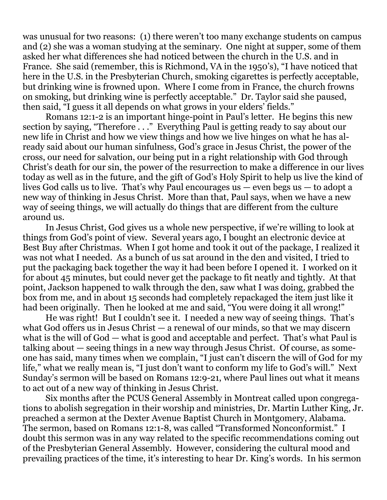was unusual for two reasons: (1) there weren't too many exchange students on campus and (2) she was a woman studying at the seminary. One night at supper, some of them asked her what differences she had noticed between the church in the U.S. and in France. She said (remember, this is Richmond, VA in the 1950's), "I have noticed that here in the U.S. in the Presbyterian Church, smoking cigarettes is perfectly acceptable, but drinking wine is frowned upon. Where I come from in France, the church frowns on smoking, but drinking wine is perfectly acceptable." Dr. Taylor said she paused, then said, "I guess it all depends on what grows in your elders' fields."

Romans 12:1-2 is an important hinge-point in Paul's letter. He begins this new section by saying, "Therefore . . ." Everything Paul is getting ready to say about our new life in Christ and how we view things and how we live hinges on what he has already said about our human sinfulness, God's grace in Jesus Christ, the power of the cross, our need for salvation, our being put in a right relationship with God through Christ's death for our sin, the power of the resurrection to make a difference in our lives today as well as in the future, and the gift of God's Holy Spirit to help us live the kind of lives God calls us to live. That's why Paul encourages us — even begs us — to adopt a new way of thinking in Jesus Christ. More than that, Paul says, when we have a new way of seeing things, we will actually do things that are different from the culture around us.

In Jesus Christ, God gives us a whole new perspective, if we're willing to look at things from God's point of view. Several years ago, I bought an electronic device at Best Buy after Christmas. When I got home and took it out of the package, I realized it was not what I needed. As a bunch of us sat around in the den and visited, I tried to put the packaging back together the way it had been before I opened it. I worked on it for about 45 minutes, but could never get the package to fit neatly and tightly. At that point, Jackson happened to walk through the den, saw what I was doing, grabbed the box from me, and in about 15 seconds had completely repackaged the item just like it had been originally. Then he looked at me and said, "You were doing it all wrong!"

He was right! But I couldn't see it. I needed a new way of seeing things. That's what God offers us in Jesus Christ — a renewal of our minds, so that we may discern what is the will of God — what is good and acceptable and perfect. That's what Paul is talking about — seeing things in a new way through Jesus Christ. Of course, as someone has said, many times when we complain, "I just can't discern the will of God for my life," what we really mean is, "I just don't want to conform my life to God's will." Next Sunday's sermon will be based on Romans 12:9-21, where Paul lines out what it means to act out of a new way of thinking in Jesus Christ.

Six months after the PCUS General Assembly in Montreat called upon congregations to abolish segregation in their worship and ministries, Dr. Martin Luther King, Jr. preached a sermon at the Dexter Avenue Baptist Church in Montgomery, Alabama. The sermon, based on Romans 12:1-8, was called "Transformed Nonconformist." I doubt this sermon was in any way related to the specific recommendations coming out of the Presbyterian General Assembly. However, considering the cultural mood and prevailing practices of the time, it's interesting to hear Dr. King's words. In his sermon